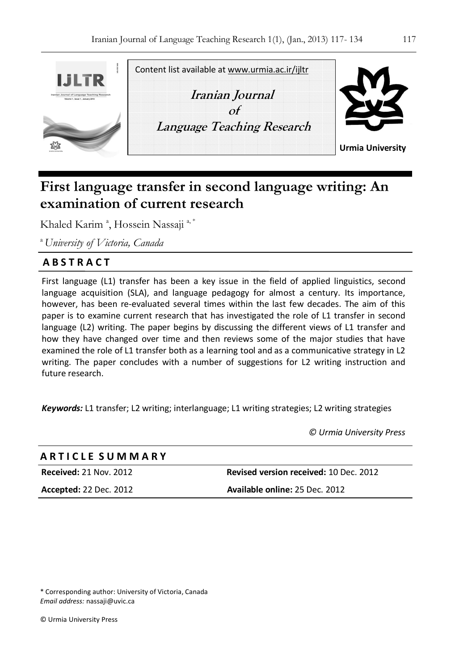

# **First language transfer in second language writing: An examination of current research**

Khaled Karim<sup>a</sup>, Hossein Nassaji<sup>a,\*</sup>

<sup>a</sup>*University of Victoria, Canada*

## **A B S T R A C T**

First language (L1) transfer has been a key issue in the field of applied linguistics, second language acquisition (SLA), and language pedagogy for almost a century. Its importance, however, has been re-evaluated several times within the last few decades. The aim of this paper is to examine current research that has investigated the role of L1 transfer in second language (L2) writing. The paper begins by discussing the different views of L1 transfer and how they have changed over time and then reviews some of the major studies that have examined the role of L1 transfer both as a learning tool and as a communicative strategy in L2 writing. The paper concludes with a number of suggestions for L2 writing instruction and future research.

*Keywords:* L1 transfer; L2 writing; interlanguage; L1 writing strategies; L2 writing strategies

*© Urmia University Press* 

| <b>ARTICLE SUMMARY</b>        |                                               |
|-------------------------------|-----------------------------------------------|
| <b>Received: 21 Nov. 2012</b> | <b>Revised version received: 10 Dec. 2012</b> |
| <b>Accepted: 22 Dec. 2012</b> | Available online: 25 Dec. 2012                |
|                               |                                               |

\* Corresponding author: University of Victoria, Canada *Email address:* nassaji@uvic.ca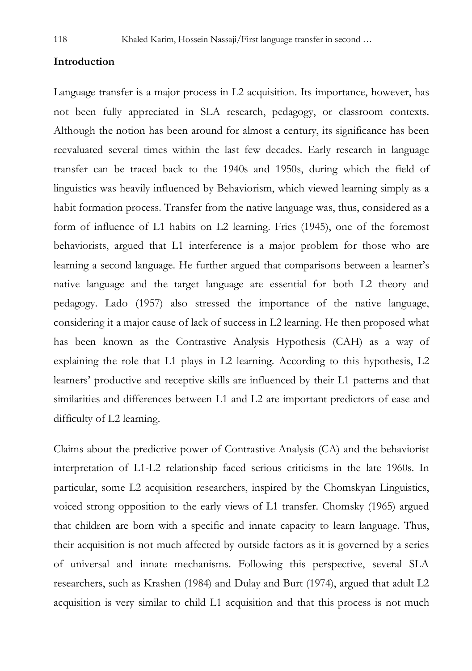#### **Introduction**

Language transfer is a major process in L2 acquisition. Its importance, however, has not been fully appreciated in SLA research, pedagogy, or classroom contexts. Although the notion has been around for almost a century, its significance has been reevaluated several times within the last few decades. Early research in language transfer can be traced back to the 1940s and 1950s, during which the field of linguistics was heavily influenced by Behaviorism, which viewed learning simply as a habit formation process. Transfer from the native language was, thus, considered as a form of influence of L1 habits on L2 learning. Fries (1945), one of the foremost behaviorists, argued that L1 interference is a major problem for those who are learning a second language. He further argued that comparisons between a learner's native language and the target language are essential for both L2 theory and pedagogy. Lado (1957) also stressed the importance of the native language, considering it a major cause of lack of success in L2 learning. He then proposed what has been known as the Contrastive Analysis Hypothesis (CAH) as a way of explaining the role that L1 plays in L2 learning. According to this hypothesis, L2 learners' productive and receptive skills are influenced by their L1 patterns and that similarities and differences between L1 and L2 are important predictors of ease and difficulty of L2 learning.

Claims about the predictive power of Contrastive Analysis (CA) and the behaviorist interpretation of L1-L2 relationship faced serious criticisms in the late 1960s. In particular, some L2 acquisition researchers, inspired by the Chomskyan Linguistics, voiced strong opposition to the early views of L1 transfer. Chomsky (1965) argued that children are born with a specific and innate capacity to learn language. Thus, their acquisition is not much affected by outside factors as it is governed by a series of universal and innate mechanisms. Following this perspective, several SLA researchers, such as Krashen (1984) and Dulay and Burt (1974), argued that adult L2 acquisition is very similar to child L1 acquisition and that this process is not much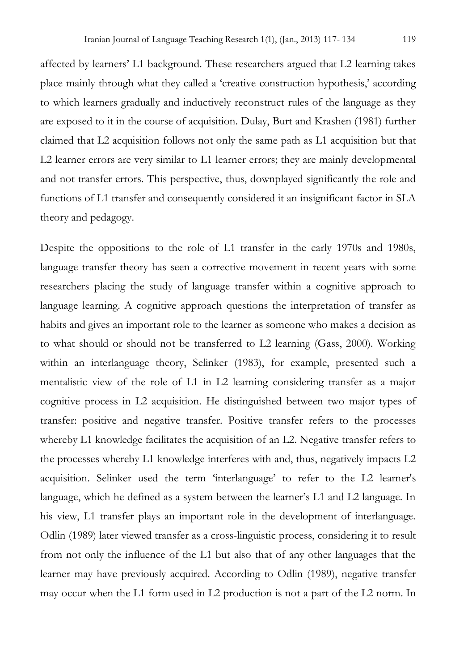affected by learners' L1 background. These researchers argued that L2 learning takes place mainly through what they called a 'creative construction hypothesis,' according to which learners gradually and inductively reconstruct rules of the language as they are exposed to it in the course of acquisition. Dulay, Burt and Krashen (1981) further claimed that L2 acquisition follows not only the same path as L1 acquisition but that L2 learner errors are very similar to L1 learner errors; they are mainly developmental and not transfer errors. This perspective, thus, downplayed significantly the role and functions of L1 transfer and consequently considered it an insignificant factor in SLA theory and pedagogy.

Despite the oppositions to the role of L1 transfer in the early 1970s and 1980s, language transfer theory has seen a corrective movement in recent years with some researchers placing the study of language transfer within a cognitive approach to language learning. A cognitive approach questions the interpretation of transfer as habits and gives an important role to the learner as someone who makes a decision as to what should or should not be transferred to L2 learning (Gass, 2000). Working within an interlanguage theory, Selinker (1983), for example, presented such a mentalistic view of the role of L1 in L2 learning considering transfer as a major cognitive process in L2 acquisition. He distinguished between two major types of transfer: positive and negative transfer. Positive transfer refers to the processes whereby L1 knowledge facilitates the acquisition of an L2. Negative transfer refers to the processes whereby L1 knowledge interferes with and, thus, negatively impacts L2 acquisition. Selinker used the term 'interlanguage' to refer to the L2 learner's language, which he defined as a system between the learner's L1 and L2 language. In his view, L1 transfer plays an important role in the development of interlanguage. Odlin (1989) later viewed transfer as a cross-linguistic process, considering it to result from not only the influence of the L1 but also that of any other languages that the learner may have previously acquired. According to Odlin (1989), negative transfer may occur when the L1 form used in L2 production is not a part of the L2 norm. In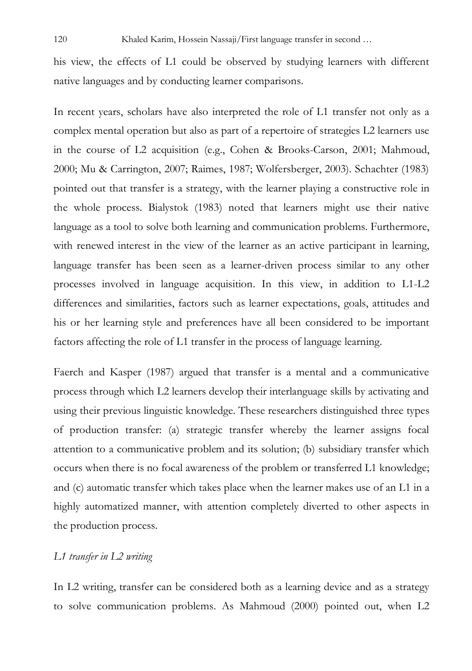his view, the effects of L1 could be observed by studying learners with different native languages and by conducting learner comparisons.

In recent years, scholars have also interpreted the role of L1 transfer not only as a complex mental operation but also as part of a repertoire of strategies L2 learners use in the course of L2 acquisition (e.g., Cohen & Brooks-Carson, 2001; Mahmoud, 2000; Mu & Carrington, 2007; Raimes, 1987; Wolfersberger, 2003). Schachter (1983) pointed out that transfer is a strategy, with the learner playing a constructive role in the whole process. Bialystok (1983) noted that learners might use their native language as a tool to solve both learning and communication problems. Furthermore, with renewed interest in the view of the learner as an active participant in learning, language transfer has been seen as a learner-driven process similar to any other processes involved in language acquisition. In this view, in addition to L1-L2 differences and similarities, factors such as learner expectations, goals, attitudes and his or her learning style and preferences have all been considered to be important factors affecting the role of L1 transfer in the process of language learning.

Faerch and Kasper (1987) argued that transfer is a mental and a communicative process through which L2 learners develop their interlanguage skills by activating and using their previous linguistic knowledge. These researchers distinguished three types of production transfer: (a) strategic transfer whereby the learner assigns focal attention to a communicative problem and its solution; (b) subsidiary transfer which occurs when there is no focal awareness of the problem or transferred L1 knowledge; and (c) automatic transfer which takes place when the learner makes use of an L1 in a highly automatized manner, with attention completely diverted to other aspects in the production process.

#### *L1 transfer in L2 writing*

In L2 writing, transfer can be considered both as a learning device and as a strategy to solve communication problems. As Mahmoud (2000) pointed out, when L2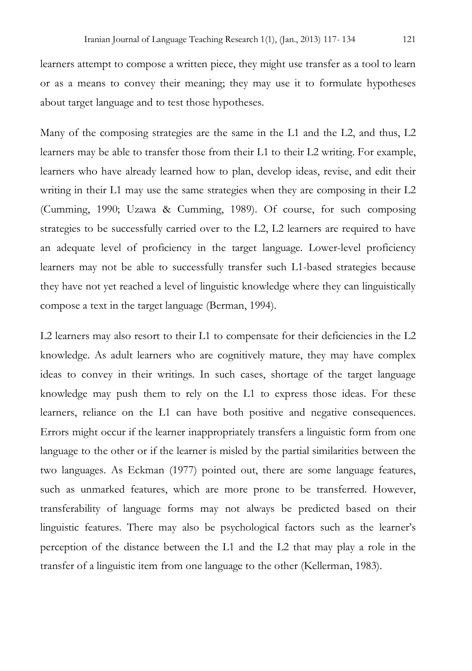learners attempt to compose a written piece, they might use transfer as a tool to learn or as a means to convey their meaning; they may use it to formulate hypotheses about target language and to test those hypotheses.

Many of the composing strategies are the same in the L1 and the L2, and thus, L2 learners may be able to transfer those from their L1 to their L2 writing. For example, learners who have already learned how to plan, develop ideas, revise, and edit their writing in their L1 may use the same strategies when they are composing in their L2 (Cumming, 1990; Uzawa & Cumming, 1989). Of course, for such composing strategies to be successfully carried over to the L2, L2 learners are required to have an adequate level of proficiency in the target language. Lower-level proficiency learners may not be able to successfully transfer such L1-based strategies because they have not yet reached a level of linguistic knowledge where they can linguistically compose a text in the target language (Berman, 1994).

L2 learners may also resort to their L1 to compensate for their deficiencies in the L2 knowledge. As adult learners who are cognitively mature, they may have complex ideas to convey in their writings. In such cases, shortage of the target language knowledge may push them to rely on the L1 to express those ideas. For these learners, reliance on the L1 can have both positive and negative consequences. Errors might occur if the learner inappropriately transfers a linguistic form from one language to the other or if the learner is misled by the partial similarities between the two languages. As Eckman (1977) pointed out, there are some language features, such as unmarked features, which are more prone to be transferred. However, transferability of language forms may not always be predicted based on their linguistic features. There may also be psychological factors such as the learner's perception of the distance between the L1 and the L2 that may play a role in the transfer of a linguistic item from one language to the other (Kellerman, 1983).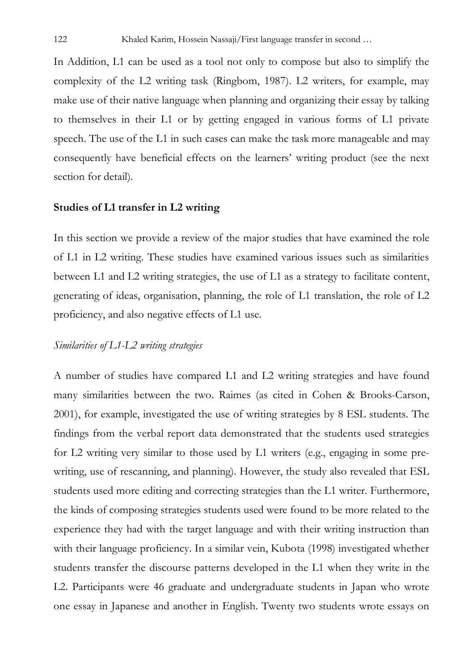In Addition, L1 can be used as a tool not only to compose but also to simplify the complexity of the L2 writing task (Ringbom, 1987). L2 writers, for example, may make use of their native language when planning and organizing their essay by talking to themselves in their L1 or by getting engaged in various forms of L1 private speech. The use of the L1 in such cases can make the task more manageable and may consequently have beneficial effects on the learners' writing product (see the next section for detail).

#### **Studies of L1 transfer in L2 writing**

In this section we provide a review of the major studies that have examined the role of L1 in L2 writing. These studies have examined various issues such as similarities between L1 and L2 writing strategies, the use of L1 as a strategy to facilitate content, generating of ideas, organisation, planning, the role of L1 translation, the role of L2 proficiency, and also negative effects of L1 use.

### *Similarities of L1-L2 writing strategies*

A number of studies have compared L1 and L2 writing strategies and have found many similarities between the two. Raimes (as cited in Cohen & Brooks-Carson, 2001), for example, investigated the use of writing strategies by 8 ESL students. The findings from the verbal report data demonstrated that the students used strategies for L2 writing very similar to those used by L1 writers (e.g., engaging in some prewriting, use of rescanning, and planning). However, the study also revealed that ESL students used more editing and correcting strategies than the L1 writer. Furthermore, the kinds of composing strategies students used were found to be more related to the experience they had with the target language and with their writing instruction than with their language proficiency. In a similar vein, Kubota (1998) investigated whether students transfer the discourse patterns developed in the L1 when they write in the L2. Participants were 46 graduate and undergraduate students in Japan who wrote one essay in Japanese and another in English. Twenty two students wrote essays on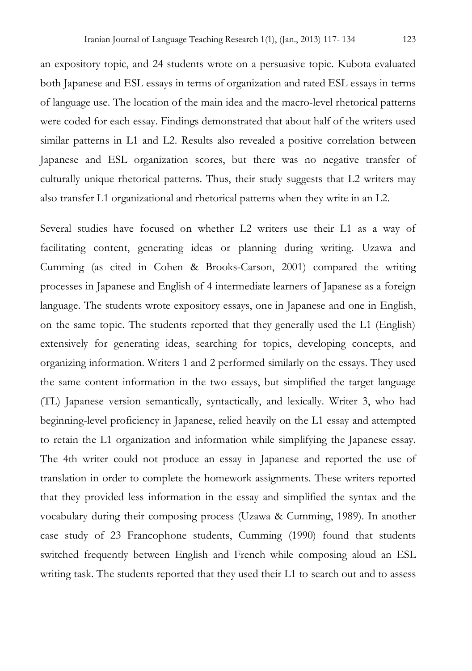an expository topic, and 24 students wrote on a persuasive topic. Kubota evaluated both Japanese and ESL essays in terms of organization and rated ESL essays in terms of language use. The location of the main idea and the macro-level rhetorical patterns were coded for each essay. Findings demonstrated that about half of the writers used similar patterns in L1 and L2. Results also revealed a positive correlation between Japanese and ESL organization scores, but there was no negative transfer of culturally unique rhetorical patterns. Thus, their study suggests that L2 writers may also transfer L1 organizational and rhetorical patterns when they write in an L2.

Several studies have focused on whether L2 writers use their L1 as a way of facilitating content, generating ideas or planning during writing. Uzawa and Cumming (as cited in Cohen & Brooks-Carson, 2001) compared the writing processes in Japanese and English of 4 intermediate learners of Japanese as a foreign language. The students wrote expository essays, one in Japanese and one in English, on the same topic. The students reported that they generally used the L1 (English) extensively for generating ideas, searching for topics, developing concepts, and organizing information. Writers 1 and 2 performed similarly on the essays. They used the same content information in the two essays, but simplified the target language (TL) Japanese version semantically, syntactically, and lexically. Writer 3, who had beginning-level proficiency in Japanese, relied heavily on the L1 essay and attempted to retain the L1 organization and information while simplifying the Japanese essay. The 4th writer could not produce an essay in Japanese and reported the use of translation in order to complete the homework assignments. These writers reported that they provided less information in the essay and simplified the syntax and the vocabulary during their composing process (Uzawa & Cumming, 1989). In another case study of 23 Francophone students, Cumming (1990) found that students switched frequently between English and French while composing aloud an ESL writing task. The students reported that they used their L1 to search out and to assess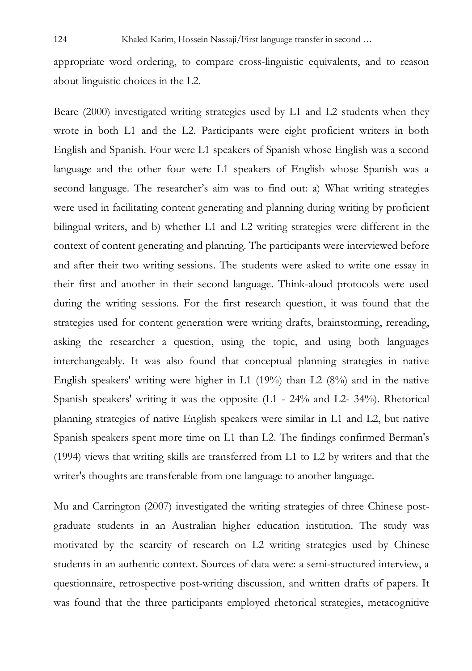appropriate word ordering, to compare cross-linguistic equivalents, and to reason about linguistic choices in the L2.

Beare (2000) investigated writing strategies used by L1 and L2 students when they wrote in both L1 and the L2. Participants were eight proficient writers in both English and Spanish. Four were L1 speakers of Spanish whose English was a second language and the other four were L1 speakers of English whose Spanish was a second language. The researcher's aim was to find out: a) What writing strategies were used in facilitating content generating and planning during writing by proficient bilingual writers, and b) whether L1 and L2 writing strategies were different in the context of content generating and planning. The participants were interviewed before and after their two writing sessions. The students were asked to write one essay in their first and another in their second language. Think-aloud protocols were used during the writing sessions. For the first research question, it was found that the strategies used for content generation were writing drafts, brainstorming, rereading, asking the researcher a question, using the topic, and using both languages interchangeably. It was also found that conceptual planning strategies in native English speakers' writing were higher in L1 (19%) than L2 (8%) and in the native Spanish speakers' writing it was the opposite (L1 - 24% and L2- 34%). Rhetorical planning strategies of native English speakers were similar in L1 and L2, but native Spanish speakers spent more time on L1 than L2. The findings confirmed Berman's (1994) views that writing skills are transferred from L1 to L2 by writers and that the writer's thoughts are transferable from one language to another language.

Mu and Carrington (2007) investigated the writing strategies of three Chinese postgraduate students in an Australian higher education institution. The study was motivated by the scarcity of research on L2 writing strategies used by Chinese students in an authentic context. Sources of data were: a semi-structured interview, a questionnaire, retrospective post-writing discussion, and written drafts of papers. It was found that the three participants employed rhetorical strategies, metacognitive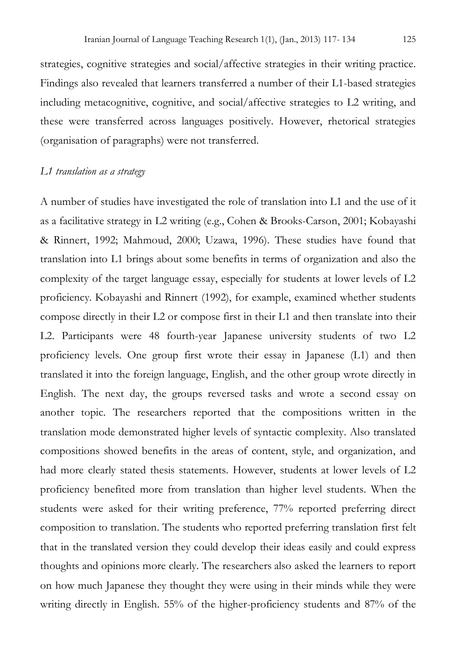strategies, cognitive strategies and social/affective strategies in their writing practice. Findings also revealed that learners transferred a number of their L1-based strategies including metacognitive, cognitive, and social/affective strategies to L2 writing, and these were transferred across languages positively. However, rhetorical strategies (organisation of paragraphs) were not transferred.

#### *L1 translation as a strategy*

A number of studies have investigated the role of translation into L1 and the use of it as a facilitative strategy in L2 writing (e.g., Cohen & Brooks-Carson, 2001; Kobayashi & Rinnert, 1992; Mahmoud, 2000; Uzawa, 1996). These studies have found that translation into L1 brings about some benefits in terms of organization and also the complexity of the target language essay, especially for students at lower levels of L2 proficiency. Kobayashi and Rinnert (1992), for example, examined whether students compose directly in their L2 or compose first in their L1 and then translate into their L2. Participants were 48 fourth-year Japanese university students of two L2 proficiency levels. One group first wrote their essay in Japanese (L1) and then translated it into the foreign language, English, and the other group wrote directly in English. The next day, the groups reversed tasks and wrote a second essay on another topic. The researchers reported that the compositions written in the translation mode demonstrated higher levels of syntactic complexity. Also translated compositions showed benefits in the areas of content, style, and organization, and had more clearly stated thesis statements. However, students at lower levels of L2 proficiency benefited more from translation than higher level students. When the students were asked for their writing preference, 77% reported preferring direct composition to translation. The students who reported preferring translation first felt that in the translated version they could develop their ideas easily and could express thoughts and opinions more clearly. The researchers also asked the learners to report on how much Japanese they thought they were using in their minds while they were writing directly in English. 55% of the higher-proficiency students and 87% of the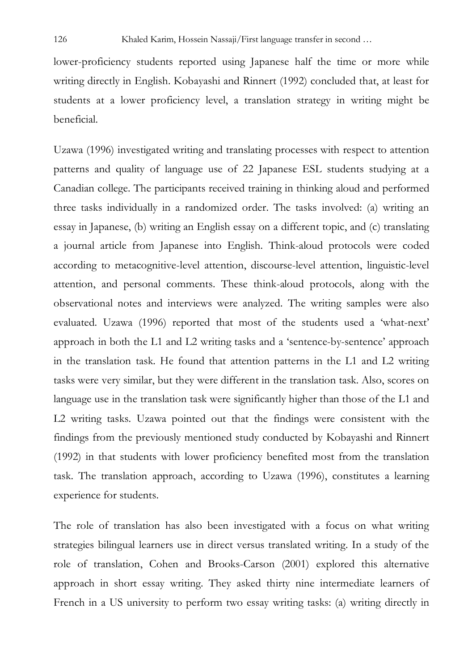lower-proficiency students reported using Japanese half the time or more while writing directly in English. Kobayashi and Rinnert (1992) concluded that, at least for students at a lower proficiency level, a translation strategy in writing might be beneficial.

Uzawa (1996) investigated writing and translating processes with respect to attention patterns and quality of language use of 22 Japanese ESL students studying at a Canadian college. The participants received training in thinking aloud and performed three tasks individually in a randomized order. The tasks involved: (a) writing an essay in Japanese, (b) writing an English essay on a different topic, and (c) translating a journal article from Japanese into English. Think-aloud protocols were coded according to metacognitive-level attention, discourse-level attention, linguistic-level attention, and personal comments. These think-aloud protocols, along with the observational notes and interviews were analyzed. The writing samples were also evaluated. Uzawa (1996) reported that most of the students used a 'what-next' approach in both the L1 and L2 writing tasks and a 'sentence-by-sentence' approach in the translation task. He found that attention patterns in the L1 and L2 writing tasks were very similar, but they were different in the translation task. Also, scores on language use in the translation task were significantly higher than those of the L1 and L2 writing tasks. Uzawa pointed out that the findings were consistent with the findings from the previously mentioned study conducted by Kobayashi and Rinnert (1992) in that students with lower proficiency benefited most from the translation task. The translation approach, according to Uzawa (1996), constitutes a learning experience for students.

The role of translation has also been investigated with a focus on what writing strategies bilingual learners use in direct versus translated writing. In a study of the role of translation, Cohen and Brooks-Carson (2001) explored this alternative approach in short essay writing. They asked thirty nine intermediate learners of French in a US university to perform two essay writing tasks: (a) writing directly in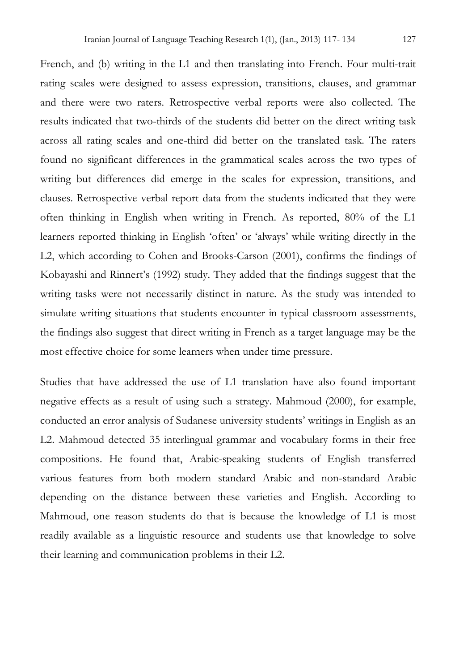French, and (b) writing in the L1 and then translating into French. Four multi-trait rating scales were designed to assess expression, transitions, clauses, and grammar and there were two raters. Retrospective verbal reports were also collected. The results indicated that two-thirds of the students did better on the direct writing task across all rating scales and one-third did better on the translated task. The raters found no significant differences in the grammatical scales across the two types of writing but differences did emerge in the scales for expression, transitions, and clauses. Retrospective verbal report data from the students indicated that they were often thinking in English when writing in French. As reported, 80% of the L1 learners reported thinking in English 'often' or 'always' while writing directly in the L2, which according to Cohen and Brooks-Carson (2001), confirms the findings of Kobayashi and Rinnert's (1992) study. They added that the findings suggest that the writing tasks were not necessarily distinct in nature. As the study was intended to simulate writing situations that students encounter in typical classroom assessments, the findings also suggest that direct writing in French as a target language may be the most effective choice for some learners when under time pressure.

Studies that have addressed the use of L1 translation have also found important negative effects as a result of using such a strategy. Mahmoud (2000), for example, conducted an error analysis of Sudanese university students' writings in English as an L2. Mahmoud detected 35 interlingual grammar and vocabulary forms in their free compositions. He found that, Arabic-speaking students of English transferred various features from both modern standard Arabic and non-standard Arabic depending on the distance between these varieties and English. According to Mahmoud, one reason students do that is because the knowledge of L1 is most readily available as a linguistic resource and students use that knowledge to solve their learning and communication problems in their L2.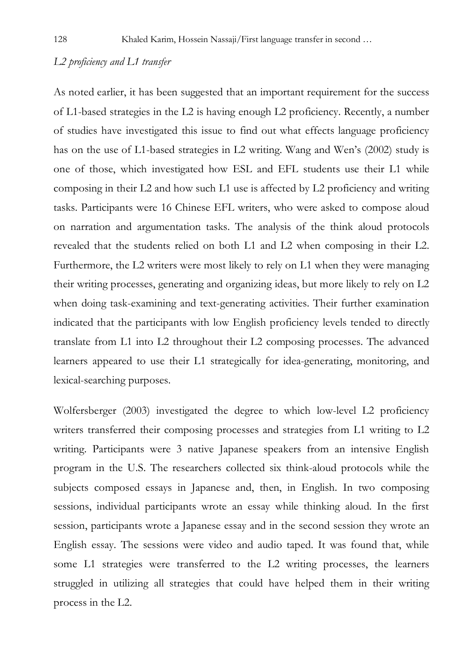### *L2 proficiency and L1 transfer*

As noted earlier, it has been suggested that an important requirement for the success of L1-based strategies in the L2 is having enough L2 proficiency. Recently, a number of studies have investigated this issue to find out what effects language proficiency has on the use of L1-based strategies in L2 writing. Wang and Wen's (2002) study is one of those, which investigated how ESL and EFL students use their L1 while composing in their L2 and how such L1 use is affected by L2 proficiency and writing tasks. Participants were 16 Chinese EFL writers, who were asked to compose aloud on narration and argumentation tasks. The analysis of the think aloud protocols revealed that the students relied on both L1 and L2 when composing in their L2. Furthermore, the L2 writers were most likely to rely on L1 when they were managing their writing processes, generating and organizing ideas, but more likely to rely on L2 when doing task-examining and text-generating activities. Their further examination indicated that the participants with low English proficiency levels tended to directly translate from L1 into L2 throughout their L2 composing processes. The advanced learners appeared to use their L1 strategically for idea-generating, monitoring, and lexical-searching purposes.

Wolfersberger (2003) investigated the degree to which low-level L2 proficiency writers transferred their composing processes and strategies from L1 writing to L2 writing. Participants were 3 native Japanese speakers from an intensive English program in the U.S. The researchers collected six think-aloud protocols while the subjects composed essays in Japanese and, then, in English. In two composing sessions, individual participants wrote an essay while thinking aloud. In the first session, participants wrote a Japanese essay and in the second session they wrote an English essay. The sessions were video and audio taped. It was found that, while some L1 strategies were transferred to the L2 writing processes, the learners struggled in utilizing all strategies that could have helped them in their writing process in the L2.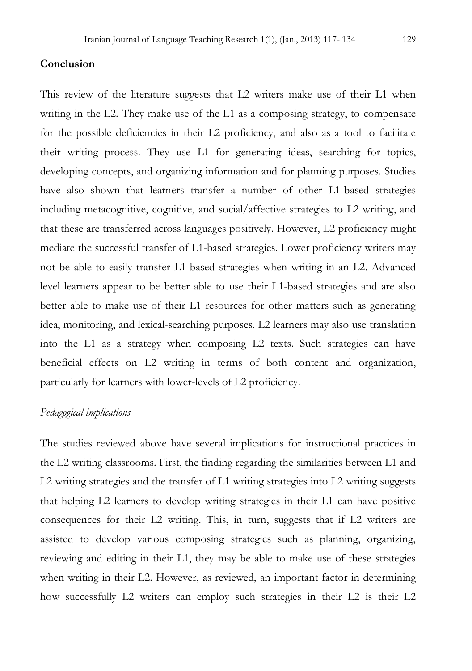### **Conclusion**

This review of the literature suggests that L2 writers make use of their L1 when writing in the L2. They make use of the L1 as a composing strategy, to compensate for the possible deficiencies in their L2 proficiency, and also as a tool to facilitate their writing process. They use L1 for generating ideas, searching for topics, developing concepts, and organizing information and for planning purposes. Studies have also shown that learners transfer a number of other L1-based strategies including metacognitive, cognitive, and social/affective strategies to L2 writing, and that these are transferred across languages positively. However, L2 proficiency might mediate the successful transfer of L1-based strategies. Lower proficiency writers may not be able to easily transfer L1-based strategies when writing in an L2. Advanced level learners appear to be better able to use their L1-based strategies and are also better able to make use of their L1 resources for other matters such as generating idea, monitoring, and lexical-searching purposes. L2 learners may also use translation into the L1 as a strategy when composing L2 texts. Such strategies can have beneficial effects on L2 writing in terms of both content and organization, particularly for learners with lower-levels of L2 proficiency.

#### *Pedagogical implications*

The studies reviewed above have several implications for instructional practices in the L2 writing classrooms. First, the finding regarding the similarities between L1 and L2 writing strategies and the transfer of L1 writing strategies into L2 writing suggests that helping L2 learners to develop writing strategies in their L1 can have positive consequences for their L2 writing. This, in turn, suggests that if L2 writers are assisted to develop various composing strategies such as planning, organizing, reviewing and editing in their L1, they may be able to make use of these strategies when writing in their L2. However, as reviewed, an important factor in determining how successfully L2 writers can employ such strategies in their L2 is their L2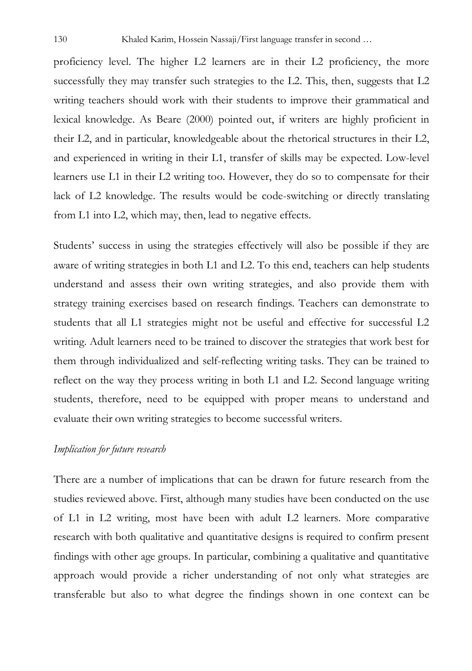proficiency level. The higher L2 learners are in their L2 proficiency, the more successfully they may transfer such strategies to the L2. This, then, suggests that L2 writing teachers should work with their students to improve their grammatical and lexical knowledge. As Beare (2000) pointed out, if writers are highly proficient in their L2, and in particular, knowledgeable about the rhetorical structures in their L2, and experienced in writing in their L1, transfer of skills may be expected. Low-level learners use L1 in their L2 writing too. However, they do so to compensate for their lack of L2 knowledge. The results would be code-switching or directly translating from L1 into L2, which may, then, lead to negative effects.

Students' success in using the strategies effectively will also be possible if they are aware of writing strategies in both L1 and L2. To this end, teachers can help students understand and assess their own writing strategies, and also provide them with strategy training exercises based on research findings. Teachers can demonstrate to students that all L1 strategies might not be useful and effective for successful L2 writing. Adult learners need to be trained to discover the strategies that work best for them through individualized and self-reflecting writing tasks. They can be trained to reflect on the way they process writing in both L1 and L2. Second language writing students, therefore, need to be equipped with proper means to understand and evaluate their own writing strategies to become successful writers.

#### *Implication for future research*

There are a number of implications that can be drawn for future research from the studies reviewed above. First, although many studies have been conducted on the use of L1 in L2 writing, most have been with adult L2 learners. More comparative research with both qualitative and quantitative designs is required to confirm present findings with other age groups. In particular, combining a qualitative and quantitative approach would provide a richer understanding of not only what strategies are transferable but also to what degree the findings shown in one context can be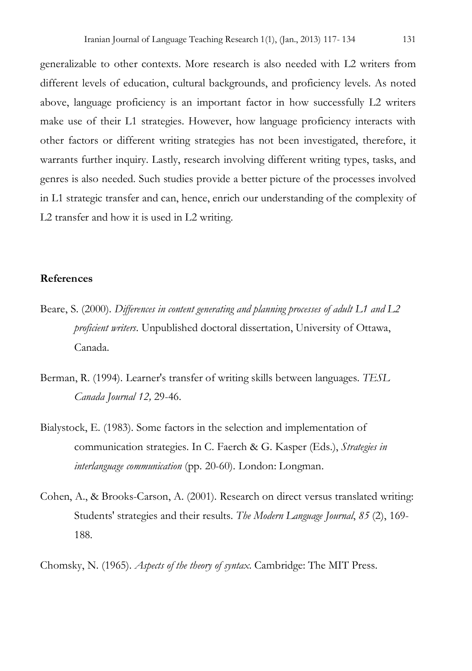generalizable to other contexts. More research is also needed with L2 writers from different levels of education, cultural backgrounds, and proficiency levels. As noted above, language proficiency is an important factor in how successfully L2 writers make use of their L1 strategies. However, how language proficiency interacts with other factors or different writing strategies has not been investigated, therefore, it warrants further inquiry. Lastly, research involving different writing types, tasks, and genres is also needed. Such studies provide a better picture of the processes involved in L1 strategic transfer and can, hence, enrich our understanding of the complexity of L2 transfer and how it is used in L2 writing.

#### **References**

- Beare, S. (2000). *Differences in content generating and planning processes of adult L1 and L2 proficient writers*. Unpublished doctoral dissertation, University of Ottawa, Canada.
- Berman, R. (1994). Learner's transfer of writing skills between languages. *TESL Canada Journal 12,* 29-46.
- Bialystock, E. (1983). Some factors in the selection and implementation of communication strategies. In C. Faerch & G. Kasper (Eds.), *Strategies in interlanguage communication* (pp. 20-60). London: Longman.
- Cohen, A., & Brooks-Carson, A. (2001). Research on direct versus translated writing: Students' strategies and their results. *The Modern Language Journal*, *85* (2), 169- 188.
- Chomsky, N. (1965). *Aspects of the theory of syntax*. Cambridge: The MIT Press.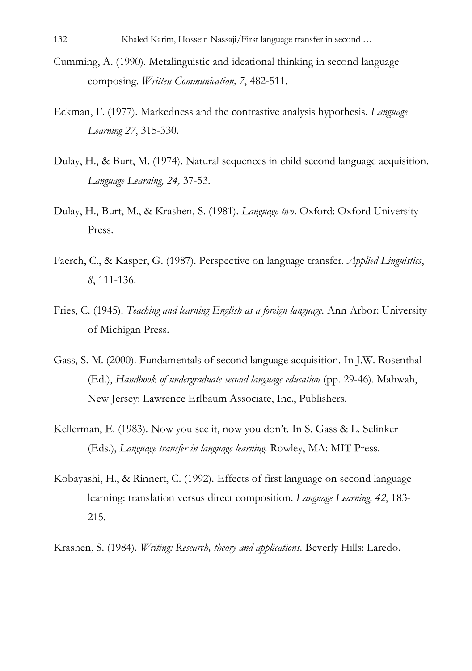- Cumming, A. (1990). Metalinguistic and ideational thinking in second language composing. *Written Communication, 7*, 482-511.
- Eckman, F. (1977). Markedness and the contrastive analysis hypothesis. *Language Learning 27*, 315-330.
- Dulay, H., & Burt, M. (1974). Natural sequences in child second language acquisition. *Language Learning, 24,* 37-53.
- Dulay, H., Burt, M., & Krashen, S. (1981). *Language two*. Oxford: Oxford University Press.
- Faerch, C., & Kasper, G. (1987). Perspective on language transfer. *Applied Linguistics*, *8*, 111-136.
- Fries, C. (1945). *Teaching and learning English as a foreign language.* Ann Arbor: University of Michigan Press.
- Gass, S. M. (2000). Fundamentals of second language acquisition. In J.W. Rosenthal (Ed.), *Handbook of undergraduate second language education* (pp. 29-46). Mahwah, New Jersey: Lawrence Erlbaum Associate, Inc., Publishers.
- Kellerman, E. (1983). Now you see it, now you don't. In S. Gass & L. Selinker (Eds.), *Language transfer in language learning.* Rowley, MA: MIT Press.
- Kobayashi, H., & Rinnert, C. (1992). Effects of first language on second language learning: translation versus direct composition. *Language Learning, 42*, 183- 215.
- Krashen, S. (1984). *Writing: Research, theory and applications*. Beverly Hills: Laredo.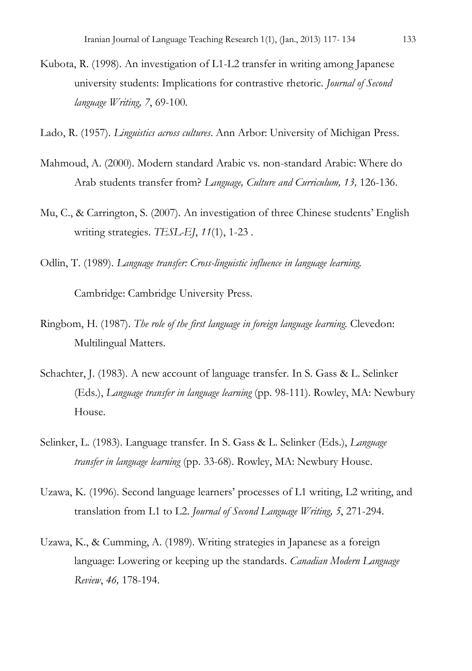- Kubota, R. (1998). An investigation of L1-L2 transfer in writing among Japanese university students: Implications for contrastive rhetoric. *Journal of Second language Writing, 7*, 69-100.
- Lado, R. (1957). *Linguistics across cultures*. Ann Arbor: University of Michigan Press.
- Mahmoud, A. (2000). Modern standard Arabic vs. non-standard Arabic: Where do Arab students transfer from? *Language, Culture and Curriculum, 13,* 126-136.
- Mu, C., & Carrington, S. (2007). An investigation of three Chinese students' English writing strategies. *TESL-EJ*, *11*(1), 1-23 .
- Odlin, T. (1989). *Language transfer: Cross-linguistic influence in language learning.*

Cambridge: Cambridge University Press.

- Ringbom, H. (1987). *The role of the first language in foreign language learning.* Clevedon: Multilingual Matters.
- Schachter, J. (1983). A new account of language transfer. In S. Gass & L. Selinker (Eds.), *Language transfer in language learning* (pp. 98-111). Rowley, MA: Newbury House.
- Selinker, L. (1983). Language transfer. In S. Gass & L. Selinker (Eds.), *Language transfer in language learning* (pp. 33-68). Rowley, MA: Newbury House.
- Uzawa, K. (1996). Second language learners' processes of L1 writing, L2 writing, and translation from L1 to L2. *Journal of Second Language Writing, 5*, 271-294.
- Uzawa, K., & Cumming, A. (1989). Writing strategies in Japanese as a foreign language: Lowering or keeping up the standards. *Canadian Modern Language Review*, *46,* 178-194.